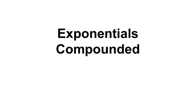# **Exponentials Compounded**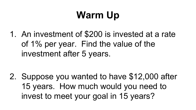## **Warm Up**

1. An investment of \$200 is invested at a rate of 1% per year. Find the value of the investment after 5 years.

2. Suppose you wanted to have \$12,000 after 15 years. How much would you need to invest to meet your goal in 15 years?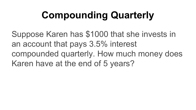## **Compounding Quarterly**

Suppose Karen has \$1000 that she invests in an account that pays 3.5% interest compounded quarterly. How much money does Karen have at the end of 5 years?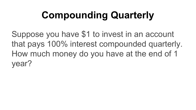# **Compounding Quarterly**

Suppose you have \$1 to invest in an account that pays 100% interest compounded quarterly. How much money do you have at the end of 1 year?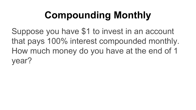# **Compounding Monthly**

Suppose you have \$1 to invest in an account that pays 100% interest compounded monthly. How much money do you have at the end of 1 year?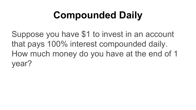## **Compounded Daily**

Suppose you have \$1 to invest in an account that pays 100% interest compounded daily. How much money do you have at the end of 1 year?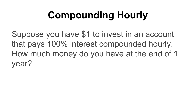# **Compounding Hourly**

Suppose you have \$1 to invest in an account that pays 100% interest compounded hourly. How much money do you have at the end of 1 year?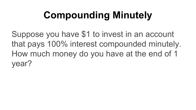# **Compounding Minutely**

Suppose you have \$1 to invest in an account that pays 100% interest compounded minutely. How much money do you have at the end of 1 year?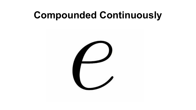#### **Compounded Continuously**

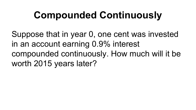## **Compounded Continuously**

Suppose that in year 0, one cent was invested in an account earning 0.9% interest compounded continuously. How much will it be worth 2015 years later?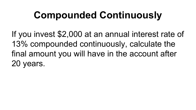## **Compounded Continuously**

If you invest \$2,000 at an annual interest rate of 13% compounded continuously, calculate the final amount you will have in the account after 20 years.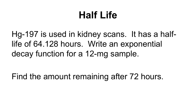#### **Half Life**

Hg-197 is used in kidney scans. It has a halflife of 64.128 hours. Write an exponential decay function for a 12-mg sample.

Find the amount remaining after 72 hours.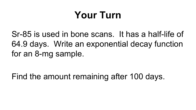#### **Your Turn**

Sr-85 is used in bone scans. It has a half-life of 64.9 days. Write an exponential decay function for an 8-mg sample.

Find the amount remaining after 100 days.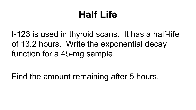#### **Half Life**

I-123 is used in thyroid scans. It has a half-life of 13.2 hours. Write the exponential decay function for a 45-mg sample.

Find the amount remaining after 5 hours.